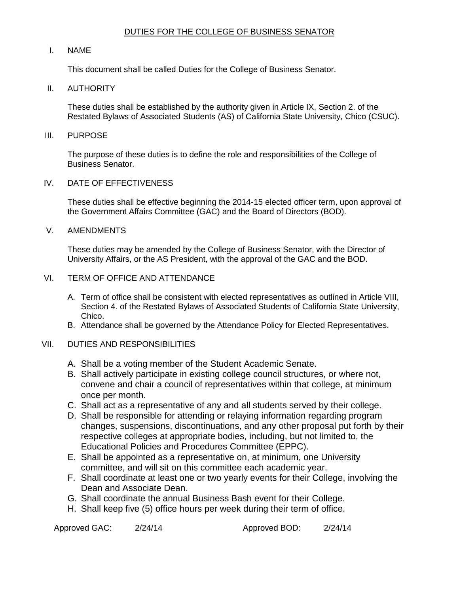### DUTIES FOR THE COLLEGE OF BUSINESS SENATOR

### I. NAME

This document shall be called Duties for the College of Business Senator.

### II. AUTHORITY

 These duties shall be established by the authority given in Article IX, Section 2. of the Restated Bylaws of Associated Students (AS) of California State University, Chico (CSUC).

#### III. PURPOSE

 The purpose of these duties is to define the role and responsibilities of the College of Business Senator.

# IV. DATE OF EFFECTIVENESS

 These duties shall be effective beginning the 2014-15 elected officer term, upon approval of the Government Affairs Committee (GAC) and the Board of Directors (BOD).

### V. AMENDMENTS

 These duties may be amended by the College of Business Senator, with the Director of University Affairs, or the AS President, with the approval of the GAC and the BOD.

### VI. TERM OF OFFICE AND ATTENDANCE

- A. Term of office shall be consistent with elected representatives as outlined in Article VIII, Section 4. of the Restated Bylaws of Associated Students of California State University, Chico.
- B. Attendance shall be governed by the Attendance Policy for Elected Representatives.

# VII. DUTIES AND RESPONSIBILITIES

- A. Shall be a voting member of the Student Academic Senate.
- B. Shall actively participate in existing college council structures, or where not, convene and chair a council of representatives within that college, at minimum once per month.
- C. Shall act as a representative of any and all students served by their college.
- D. Shall be responsible for attending or relaying information regarding program changes, suspensions, discontinuations, and any other proposal put forth by their respective colleges at appropriate bodies, including, but not limited to, the Educational Policies and Procedures Committee (EPPC).
- E. Shall be appointed as a representative on, at minimum, one University committee, and will sit on this committee each academic year.
- Dean and Associate Dean. F. Shall coordinate at least one or two yearly events for their College, involving the
- G. Shall coordinate the annual Business Bash event for their College.
- H. Shall keep five (5) office hours per week during their term of office.

Approved GAC: 2/24/14 Approved BOD: 2/24/14